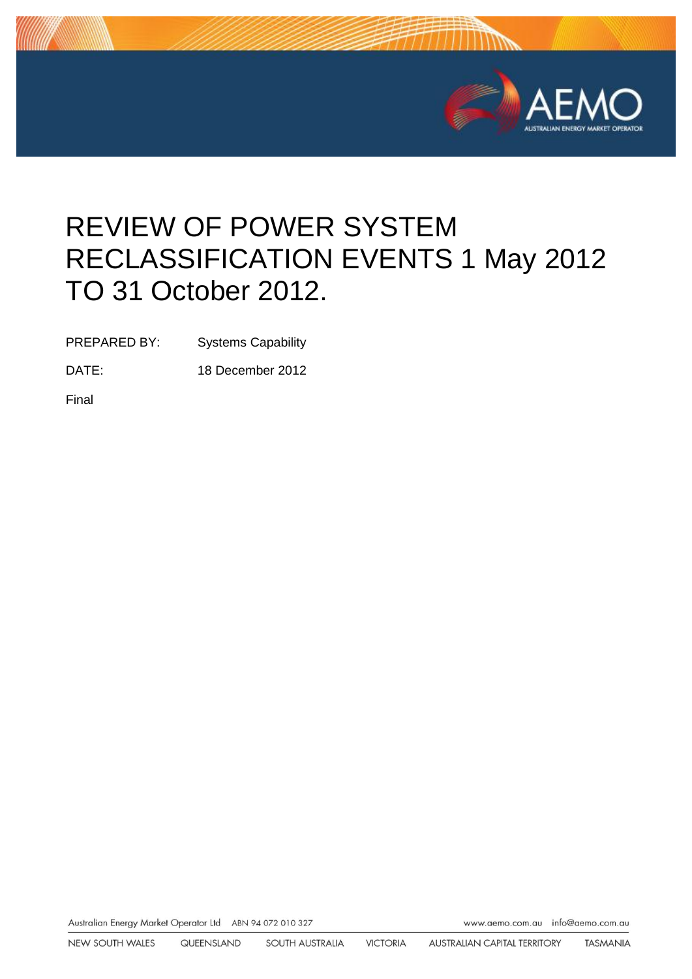

# REVIEW OF POWER SYSTEM RECLASSIFICATION EVENTS 1 May 2012 TO 31 October 2012.

PREPARED BY: Systems Capability

DATE: 18 December 2012

Final

Australian Energy Market Operator Ltd ABN 94 072 010 327

www.aemo.com.au info@aemo.com.au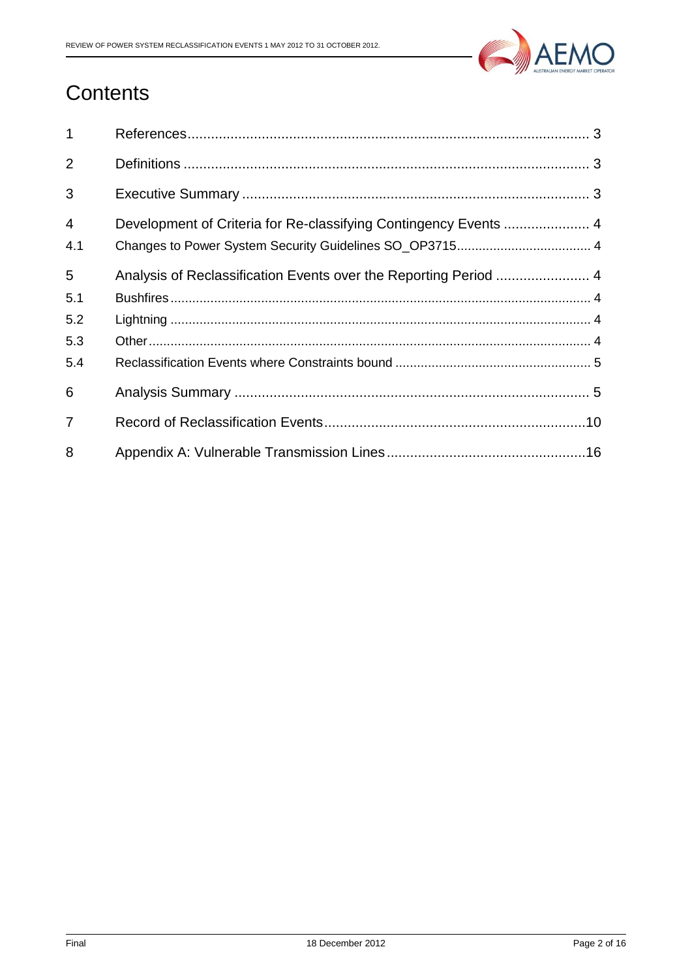

# **Contents**

| $\mathbf{1}$   |                                                                  |
|----------------|------------------------------------------------------------------|
| 2              |                                                                  |
| 3              |                                                                  |
| $\overline{4}$ | Development of Criteria for Re-classifying Contingency Events  4 |
| 4.1            |                                                                  |
| 5              | Analysis of Reclassification Events over the Reporting Period  4 |
| 5.1            |                                                                  |
| 5.2            |                                                                  |
| 5.3            |                                                                  |
| 5.4            |                                                                  |
| 6              |                                                                  |
| $\overline{7}$ |                                                                  |
| 8              |                                                                  |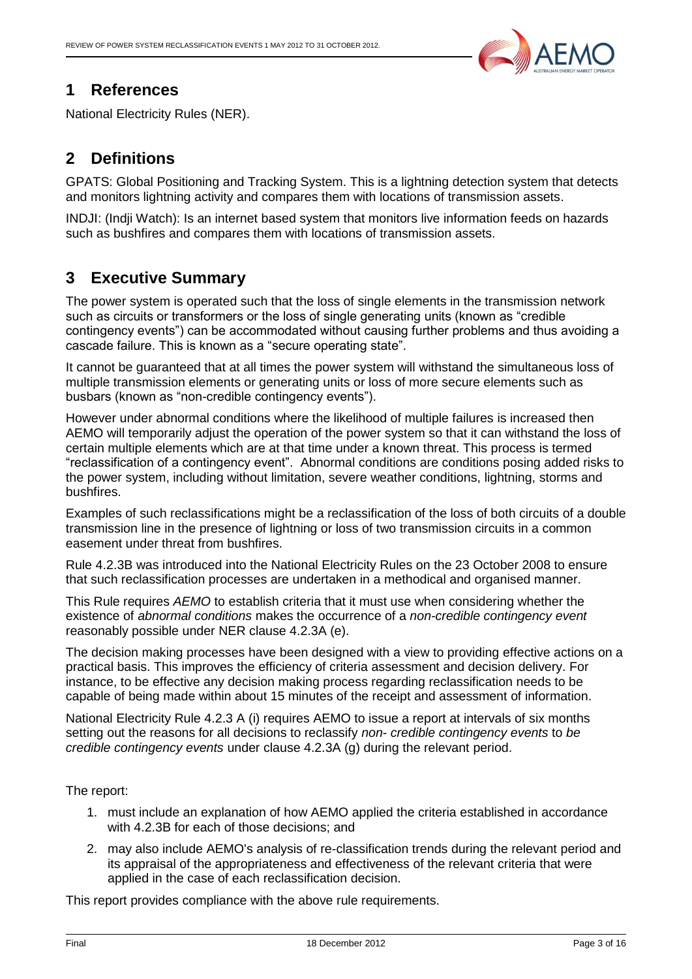

## <span id="page-2-0"></span>**1 References**

National Electricity Rules (NER).

# <span id="page-2-1"></span>**2 Definitions**

GPATS: Global Positioning and Tracking System. This is a lightning detection system that detects and monitors lightning activity and compares them with locations of transmission assets.

INDJI: (Indji Watch): Is an internet based system that monitors live information feeds on hazards such as bushfires and compares them with locations of transmission assets.

# <span id="page-2-2"></span>**3 Executive Summary**

The power system is operated such that the loss of single elements in the transmission network such as circuits or transformers or the loss of single generating units (known as "credible contingency events") can be accommodated without causing further problems and thus avoiding a cascade failure. This is known as a "secure operating state".

It cannot be guaranteed that at all times the power system will withstand the simultaneous loss of multiple transmission elements or generating units or loss of more secure elements such as busbars (known as "non-credible contingency events").

However under abnormal conditions where the likelihood of multiple failures is increased then AEMO will temporarily adjust the operation of the power system so that it can withstand the loss of certain multiple elements which are at that time under a known threat. This process is termed "reclassification of a contingency event". Abnormal conditions are conditions posing added risks to the power system, including without limitation, severe weather conditions, lightning, storms and bushfires.

Examples of such reclassifications might be a reclassification of the loss of both circuits of a double transmission line in the presence of lightning or loss of two transmission circuits in a common easement under threat from bushfires.

Rule 4.2.3B was introduced into the National Electricity Rules on the 23 October 2008 to ensure that such reclassification processes are undertaken in a methodical and organised manner.

This Rule requires *AEMO* to establish criteria that it must use when considering whether the existence of *abnormal conditions* makes the occurrence of a *non-credible contingency event*  reasonably possible under NER clause 4.2.3A (e).

The decision making processes have been designed with a view to providing effective actions on a practical basis. This improves the efficiency of criteria assessment and decision delivery. For instance, to be effective any decision making process regarding reclassification needs to be capable of being made within about 15 minutes of the receipt and assessment of information.

National Electricity Rule 4.2.3 A (i) requires AEMO to issue a report at intervals of six months setting out the reasons for all decisions to reclassify *non- credible contingency events* to *be credible contingency events* under clause 4.2.3A (g) during the relevant period.

The report:

- 1. must include an explanation of how AEMO applied the criteria established in accordance with 4.2.3B for each of those decisions; and
- 2. may also include AEMO's analysis of re-classification trends during the relevant period and its appraisal of the appropriateness and effectiveness of the relevant criteria that were applied in the case of each reclassification decision.

This report provides compliance with the above rule requirements.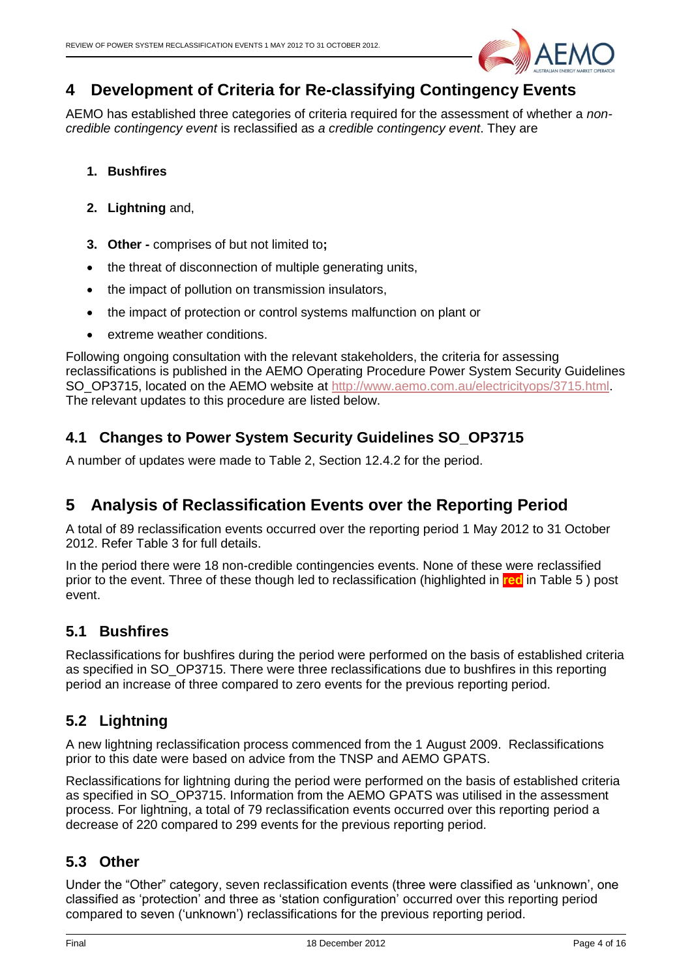

# <span id="page-3-0"></span>**4 Development of Criteria for Re-classifying Contingency Events**

AEMO has established three categories of criteria required for the assessment of whether a *noncredible contingency event* is reclassified as *a credible contingency event*. They are

- **1. Bushfires**
- **2. Lightning** and,
- **3. Other -** comprises of but not limited to**;**
- the threat of disconnection of multiple generating units,
- the impact of pollution on transmission insulators,
- the impact of protection or control systems malfunction on plant or
- extreme weather conditions.

Following ongoing consultation with the relevant stakeholders, the criteria for assessing reclassifications is published in the AEMO Operating Procedure Power System Security Guidelines SO\_OP3715, located on the AEMO website at [http://www.aemo.com.au/electricityops/3715.html.](http://www.aemo.com.au/electricityops/3715.html) The relevant updates to this procedure are listed below.

#### <span id="page-3-1"></span>**4.1 Changes to Power System Security Guidelines SO\_OP3715**

<span id="page-3-2"></span>A number of updates were made to Table 2, Section 12.4.2 for the period.

# **5 Analysis of Reclassification Events over the Reporting Period**

A total of 89 reclassification events occurred over the reporting period 1 May 2012 to 31 October 2012. Refer Table 3 for full details.

In the period there were 18 non-credible contingencies events. None of these were reclassified prior to the event. Three of these though led to reclassification (highlighted in **red** in [Table 5](#page-13-0) ) post event.

#### <span id="page-3-3"></span>**5.1 Bushfires**

Reclassifications for bushfires during the period were performed on the basis of established criteria as specified in SO\_OP3715. There were three reclassifications due to bushfires in this reporting period an increase of three compared to zero events for the previous reporting period.

# <span id="page-3-4"></span>**5.2 Lightning**

A new lightning reclassification process commenced from the 1 August 2009. Reclassifications prior to this date were based on advice from the TNSP and AEMO GPATS.

Reclassifications for lightning during the period were performed on the basis of established criteria as specified in SO\_OP3715. Information from the AEMO GPATS was utilised in the assessment process. For lightning, a total of 79 reclassification events occurred over this reporting period a decrease of 220 compared to 299 events for the previous reporting period.

#### <span id="page-3-5"></span>**5.3 Other**

Under the "Other" category, seven reclassification events (three were classified as 'unknown', one classified as 'protection' and three as 'station configuration' occurred over this reporting period compared to seven ('unknown') reclassifications for the previous reporting period.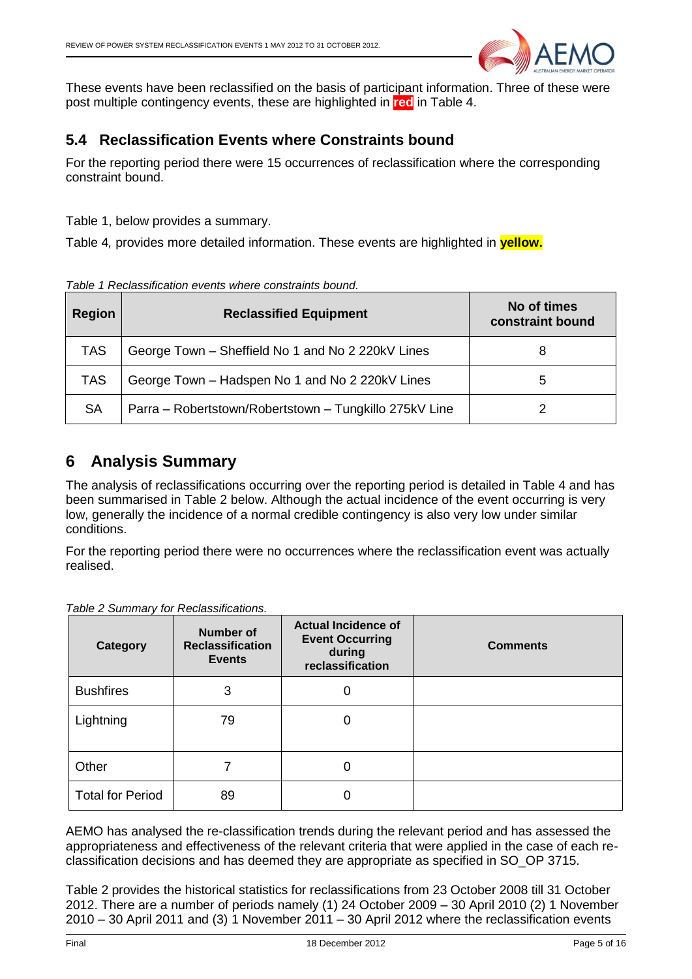<span id="page-4-2"></span>

These events have been reclassified on the basis of participant information. Three of these were post multiple contingency events, these are highlighted in **red** in [Table 4.](#page-9-1)

#### <span id="page-4-0"></span>**5.4 Reclassification Events where Constraints bound**

For the reporting period there were 15 occurrences of reclassification where the corresponding constraint bound[.](#page-4-2)

[Table 1,](#page-4-2) below provides a summary.

[Table 4](#page-9-1)*,* provides more detailed information. These events are highlighted in **yellow.**

*Table 1 Reclassification events where constraints bound.*

| Region     | <b>Reclassified Equipment</b>                          | No of times<br>constraint bound |
|------------|--------------------------------------------------------|---------------------------------|
| <b>TAS</b> | George Town - Sheffield No 1 and No 2 220kV Lines      | 8                               |
| TAS        | George Town - Hadspen No 1 and No 2 220kV Lines        | 5                               |
| <b>SA</b>  | Parra - Robertstown/Robertstown - Tungkillo 275kV Line |                                 |

# <span id="page-4-1"></span>**6 Analysis Summary**

The analysis of reclassifications occurring over the reporting period is detailed in [Table 4](#page-9-1) and has been summarised in [Table 2](#page-4-3) below. Although the actual incidence of the event occurring is very low, generally the incidence of a normal credible contingency is also very low under similar conditions.

For the reporting period there were no occurrences where the reclassification event was actually realised.

| Category                | <b>Number of</b><br><b>Reclassification</b><br><b>Events</b> | <b>Actual Incidence of</b><br><b>Event Occurring</b><br>during<br>reclassification | <b>Comments</b> |
|-------------------------|--------------------------------------------------------------|------------------------------------------------------------------------------------|-----------------|
| <b>Bushfires</b>        | 3                                                            | 0                                                                                  |                 |
| Lightning               | 79                                                           | 0                                                                                  |                 |
| Other                   |                                                              | 0                                                                                  |                 |
| <b>Total for Period</b> | 89                                                           |                                                                                    |                 |

<span id="page-4-3"></span>*Table 2 Summary for Reclassifications.*

AEMO has analysed the re-classification trends during the relevant period and has assessed the appropriateness and effectiveness of the relevant criteria that were applied in the case of each reclassification decisions and has deemed they are appropriate as specified in SO\_OP 3715.

[Table 2](#page-4-3) provides the historical statistics for reclassifications from 23 October 2008 till 31 October 2012. There are a number of periods namely (1) 24 October 2009 – 30 April 2010 (2) 1 November 2010 – 30 April 2011 and (3) 1 November 2011 – 30 April 2012 where the reclassification events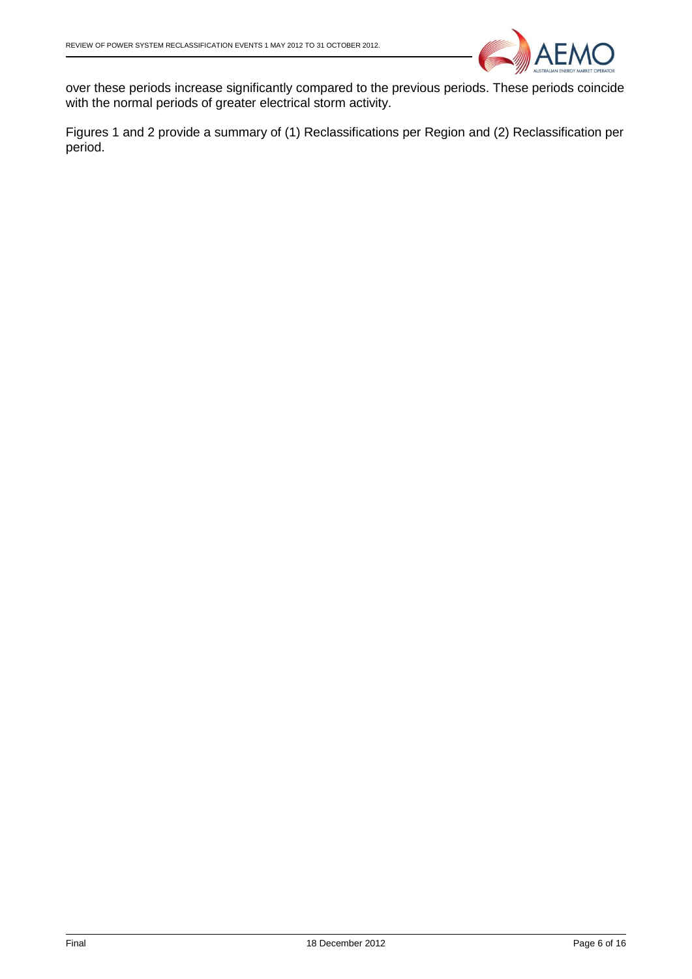

over these periods increase significantly compared to the previous periods. These periods coincide with the normal periods of greater electrical storm activity.

Figures 1 and 2 provide a summary of (1) Reclassifications per Region and (2) Reclassification per period.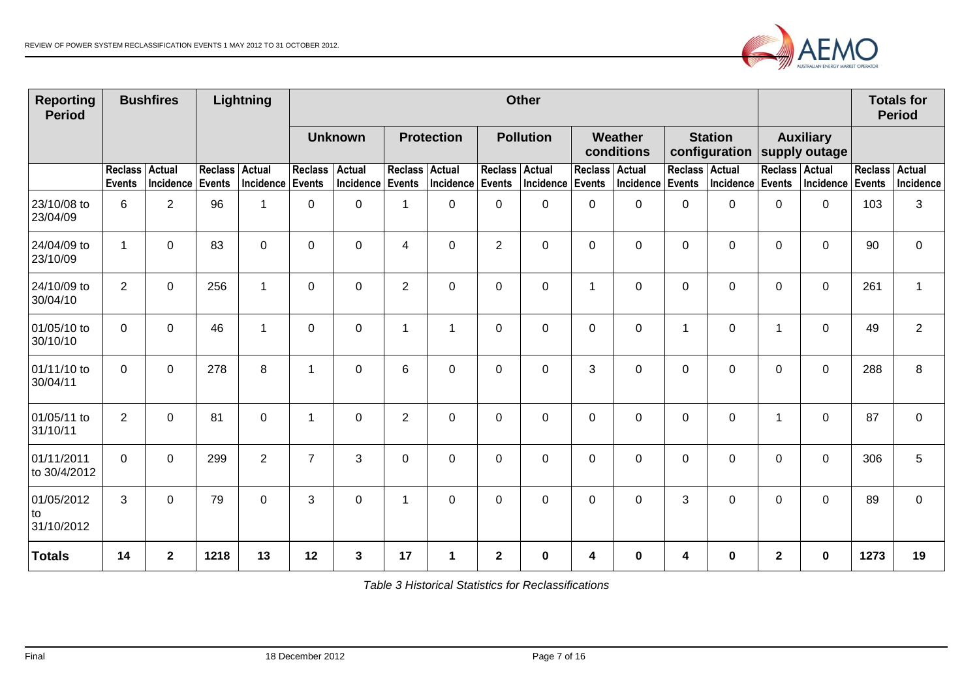

| <b>Reporting</b><br><b>Period</b> |                                 | <b>Bushfires</b>           |                                 | Lightning                  | <b>Other</b>             |                                   |                |                   |                          |                  |                          |                            |                | <b>Totals for</b><br><b>Period</b> |                                   |                  |                |                     |
|-----------------------------------|---------------------------------|----------------------------|---------------------------------|----------------------------|--------------------------|-----------------------------------|----------------|-------------------|--------------------------|------------------|--------------------------|----------------------------|----------------|------------------------------------|-----------------------------------|------------------|----------------|---------------------|
|                                   |                                 |                            |                                 |                            | <b>Unknown</b>           |                                   |                | <b>Protection</b> |                          | <b>Pollution</b> |                          | Weather<br>conditions      |                | <b>Station</b><br>configuration    | <b>Auxiliary</b><br>supply outage |                  |                |                     |
|                                   | <b>Reclass</b><br><b>Events</b> | <b>Actual</b><br>Incidence | <b>Reclass</b><br><b>Events</b> | <b>Actual</b><br>Incidence | <b>Reclass</b><br>Events | <b>Actual</b><br>Incidence Events | Reclass Actual | Incidence         | Reclass Actual<br>Events | Incidence        | <b>Reclass</b><br>Events | Actual<br>Incidence Events | <b>Reclass</b> | Actual<br>Incidence                | Reclass Actual<br><b>Events</b>   | Incidence Events | <b>Reclass</b> | Actual<br>Incidence |
| 23/10/08 to<br>23/04/09           | 6                               | $\overline{2}$             | 96                              | 1                          | 0                        | $\Omega$                          | $\overline{1}$ | 0                 | 0                        | 0                | $\Omega$                 | $\Omega$                   | 0              | $\Omega$                           | $\Omega$                          | $\Omega$         | 103            | 3                   |
| 24/04/09 to<br>23/10/09           | $\mathbf 1$                     | $\mathbf 0$                | 83                              | $\overline{0}$             | $\mathbf 0$              | $\mathbf 0$                       | $\overline{4}$ | $\mathbf 0$       | $\overline{2}$           | $\mathbf 0$      | $\Omega$                 | $\mathbf 0$                | 0              | $\mathbf 0$                        | $\mathbf 0$                       | $\mathbf 0$      | 90             | $\mathbf 0$         |
| 24/10/09 to<br>30/04/10           | $\overline{2}$                  | $\mathbf 0$                | 256                             | $\mathbf 1$                | 0                        | $\Omega$                          | $\overline{2}$ | $\mathbf 0$       | 0                        | $\mathbf 0$      | 1                        | $\mathbf 0$                | 0              | $\mathbf 0$                        | 0                                 | $\Omega$         | 261            | $\mathbf{1}$        |
| 01/05/10 to<br>30/10/10           | $\Omega$                        | 0                          | 46                              | $\mathbf 1$                | 0                        | $\Omega$                          | $\overline{1}$ | -1                | 0                        | 0                | $\Omega$                 | 0                          | 1              | 0                                  | $\mathbf 1$                       | $\Omega$         | 49             | $\overline{2}$      |
| 01/11/10 to<br>30/04/11           | $\overline{0}$                  | $\mathbf 0$                | 278                             | 8                          | -1                       | $\Omega$                          | $6\phantom{1}$ | $\mathbf 0$       | 0                        | 0                | 3                        | $\mathbf 0$                | 0              | $\mathbf 0$                        | $\mathbf 0$                       | $\Omega$         | 288            | 8                   |
| 01/05/11 to<br>31/10/11           | $\overline{2}$                  | $\mathbf 0$                | 81                              | 0                          | 1                        | 0                                 | $\overline{2}$ | $\mathbf 0$       | $\mathbf 0$              | 0                | 0                        | 0                          | 0              | 0                                  | $\mathbf 1$                       | 0                | 87             | $\mathbf 0$         |
| 01/11/2011<br>to 30/4/2012        | $\overline{0}$                  | $\mathbf 0$                | 299                             | $\overline{2}$             | $\overline{7}$           | 3                                 | $\mathbf 0$    | $\mathbf 0$       | 0                        | $\mathbf 0$      | 0                        | $\mathbf 0$                | 0              | $\mathbf 0$                        | $\mathbf 0$                       | $\mathbf 0$      | 306            | 5                   |
| 01/05/2012<br>to<br>31/10/2012    | 3                               | $\mathbf 0$                | 79                              | $\overline{0}$             | 3                        | $\mathbf 0$                       | $\mathbf 1$    | $\mathbf 0$       | 0                        | $\mathbf 0$      | 0                        | $\mathbf 0$                | 3              | $\mathbf 0$                        | $\mathbf 0$                       | $\Omega$         | 89             | $\mathbf 0$         |
| <b>Totals</b>                     | 14                              | $\mathbf 2$                | 1218                            | 13                         | 12                       | $\mathbf{3}$                      | 17             | 1                 | $\mathbf 2$              | $\mathbf 0$      | 4                        | $\mathbf 0$                | 4              | $\bf{0}$                           | $\mathbf{2}$                      | $\bf{0}$         | 1273           | 19                  |

*Table 3 Historical Statistics for Reclassifications*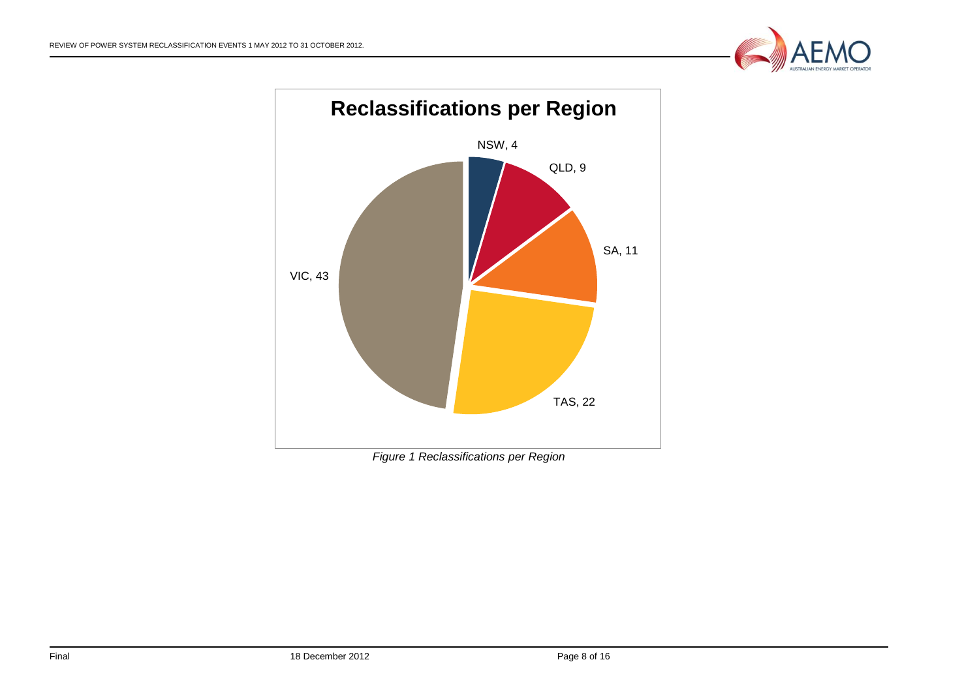



*Figure 1 Reclassifications per Region*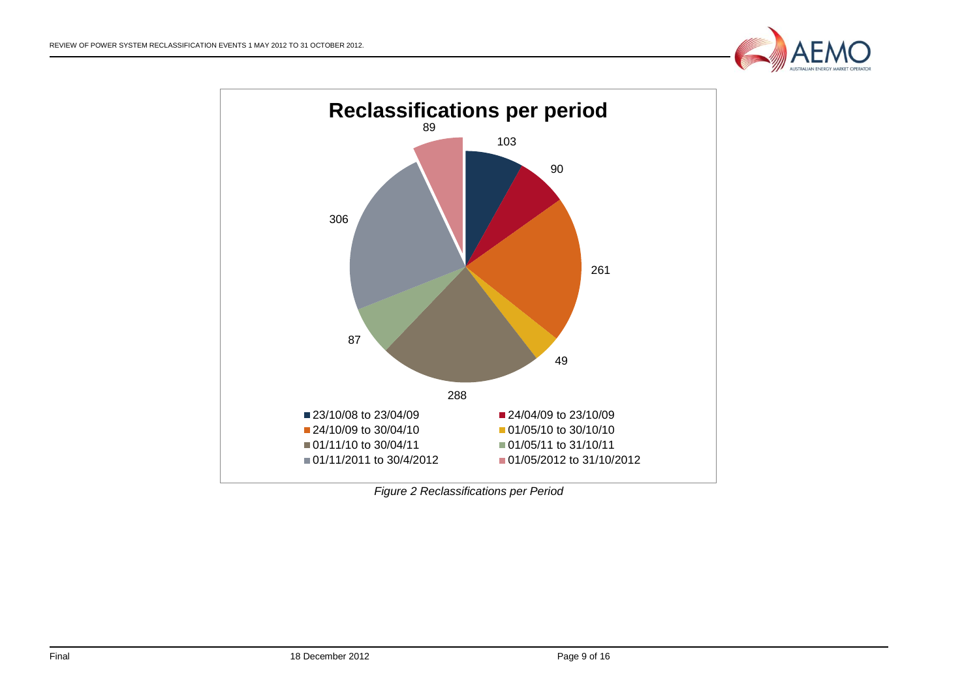



*Figure 2 Reclassifications per Period*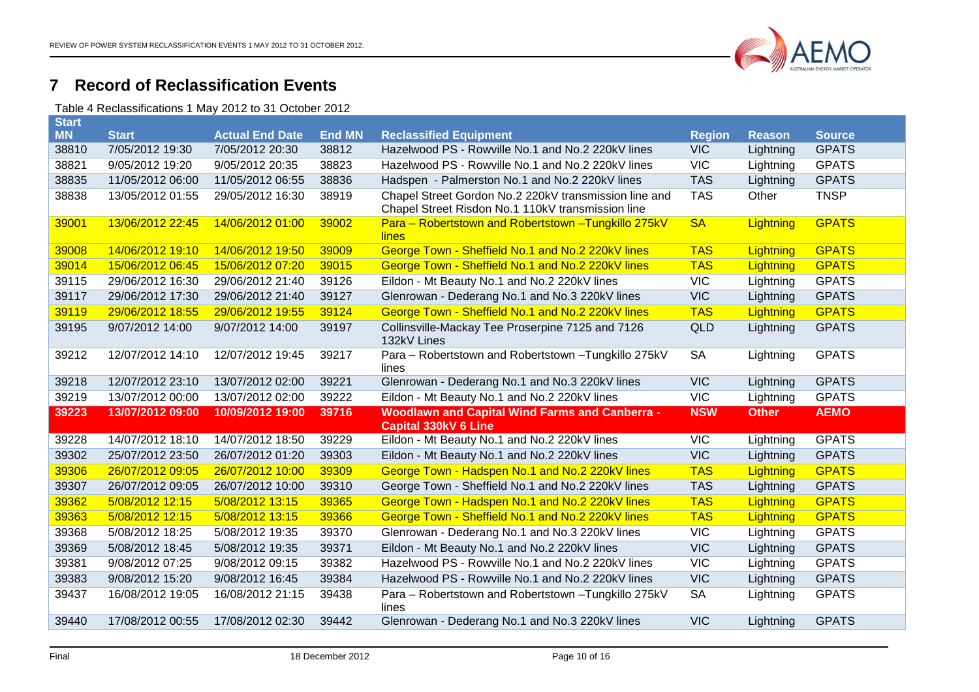

## **Record of Reclassification Events**

Table 4 Reclassifications 1 May 2012 to 31 October 2012

<span id="page-9-1"></span><span id="page-9-0"></span>

| <b>Start</b> |                  |                        |               |                                                                                                            |               |               |               |
|--------------|------------------|------------------------|---------------|------------------------------------------------------------------------------------------------------------|---------------|---------------|---------------|
| <b>MN</b>    | <b>Start</b>     | <b>Actual End Date</b> | <b>End MN</b> | <b>Reclassified Equipment</b>                                                                              | <b>Region</b> | <b>Reason</b> | <b>Source</b> |
| 38810        | 7/05/2012 19:30  | 7/05/2012 20:30        | 38812         | Hazelwood PS - Rowville No.1 and No.2 220kV lines                                                          | <b>VIC</b>    | Lightning     | <b>GPATS</b>  |
| 38821        | 9/05/2012 19:20  | 9/05/2012 20:35        | 38823         | Hazelwood PS - Rowville No.1 and No.2 220kV lines                                                          | <b>VIC</b>    | Lightning     | <b>GPATS</b>  |
| 38835        | 11/05/2012 06:00 | 11/05/2012 06:55       | 38836         | Hadspen - Palmerston No.1 and No.2 220kV lines                                                             | <b>TAS</b>    | Lightning     | <b>GPATS</b>  |
| 38838        | 13/05/2012 01:55 | 29/05/2012 16:30       | 38919         | Chapel Street Gordon No.2 220kV transmission line and<br>Chapel Street Risdon No.1 110kV transmission line | <b>TAS</b>    | Other         | <b>TNSP</b>   |
| 39001        | 13/06/2012 22:45 | 14/06/2012 01:00       | 39002         | Para - Robertstown and Robertstown - Tungkillo 275kV<br>lines                                              | <b>SA</b>     | Lightning     | <b>GPATS</b>  |
| 39008        | 14/06/2012 19:10 | 14/06/2012 19:50       | 39009         | George Town - Sheffield No.1 and No.2 220kV lines                                                          | <b>TAS</b>    | Lightning     | <b>GPATS</b>  |
| 39014        | 15/06/2012 06:45 | 15/06/2012 07:20       | 39015         | George Town - Sheffield No.1 and No.2 220kV lines                                                          | <b>TAS</b>    | Lightning     | <b>GPATS</b>  |
| 39115        | 29/06/2012 16:30 | 29/06/2012 21:40       | 39126         | Eildon - Mt Beauty No.1 and No.2 220kV lines                                                               | <b>VIC</b>    | Lightning     | <b>GPATS</b>  |
| 39117        | 29/06/2012 17:30 | 29/06/2012 21:40       | 39127         | Glenrowan - Dederang No.1 and No.3 220kV lines                                                             | <b>VIC</b>    | Lightning     | <b>GPATS</b>  |
| 39119        | 29/06/2012 18:55 | 29/06/2012 19:55       | 39124         | George Town - Sheffield No.1 and No.2 220kV lines                                                          | <b>TAS</b>    | Lightning     | <b>GPATS</b>  |
| 39195        | 9/07/2012 14:00  | 9/07/2012 14:00        | 39197         | Collinsville-Mackay Tee Proserpine 7125 and 7126<br>132kV Lines                                            | QLD           | Lightning     | <b>GPATS</b>  |
| 39212        | 12/07/2012 14:10 | 12/07/2012 19:45       | 39217         | Para - Robertstown and Robertstown - Tungkillo 275kV<br>lines                                              | <b>SA</b>     | Lightning     | <b>GPATS</b>  |
| 39218        | 12/07/2012 23:10 | 13/07/2012 02:00       | 39221         | Glenrowan - Dederang No.1 and No.3 220kV lines                                                             | <b>VIC</b>    | Lightning     | <b>GPATS</b>  |
| 39219        | 13/07/2012 00:00 | 13/07/2012 02:00       | 39222         | Eildon - Mt Beauty No.1 and No.2 220kV lines                                                               | VIC           | Lightning     | <b>GPATS</b>  |
| 39223        | 13/07/2012 09:00 | 10/09/2012 19:00       | 39716         | <b>Woodlawn and Capital Wind Farms and Canberra -</b><br><b>Capital 330kV 6 Line</b>                       | <b>NSW</b>    | <b>Other</b>  | <b>AEMO</b>   |
| 39228        | 14/07/2012 18:10 | 14/07/2012 18:50       | 39229         | Eildon - Mt Beauty No.1 and No.2 220kV lines                                                               | VIC           | Lightning     | <b>GPATS</b>  |
| 39302        | 25/07/2012 23:50 | 26/07/2012 01:20       | 39303         | Eildon - Mt Beauty No.1 and No.2 220kV lines                                                               | <b>VIC</b>    | Lightning     | <b>GPATS</b>  |
| 39306        | 26/07/2012 09:05 | 26/07/2012 10:00       | 39309         | George Town - Hadspen No.1 and No.2 220kV lines                                                            | <b>TAS</b>    | Lightning     | <b>GPATS</b>  |
| 39307        | 26/07/2012 09:05 | 26/07/2012 10:00       | 39310         | George Town - Sheffield No.1 and No.2 220kV lines                                                          | <b>TAS</b>    | Lightning     | <b>GPATS</b>  |
| 39362        | 5/08/2012 12:15  | 5/08/2012 13:15        | 39365         | George Town - Hadspen No.1 and No.2 220kV lines                                                            | <b>TAS</b>    | Lightning     | <b>GPATS</b>  |
| 39363        | 5/08/2012 12:15  | 5/08/2012 13:15        | 39366         | George Town - Sheffield No.1 and No.2 220kV lines                                                          | <b>TAS</b>    | Lightning     | <b>GPATS</b>  |
| 39368        | 5/08/2012 18:25  | 5/08/2012 19:35        | 39370         | Glenrowan - Dederang No.1 and No.3 220kV lines                                                             | <b>VIC</b>    | Lightning     | <b>GPATS</b>  |
| 39369        | 5/08/2012 18:45  | 5/08/2012 19:35        | 39371         | Eildon - Mt Beauty No.1 and No.2 220kV lines                                                               | <b>VIC</b>    | Lightning     | <b>GPATS</b>  |
| 39381        | 9/08/2012 07:25  | 9/08/2012 09:15        | 39382         | Hazelwood PS - Rowville No.1 and No.2 220kV lines                                                          | VIC           | Lightning     | <b>GPATS</b>  |
| 39383        | 9/08/2012 15:20  | 9/08/2012 16:45        | 39384         | Hazelwood PS - Rowville No.1 and No.2 220kV lines                                                          | <b>VIC</b>    | Lightning     | <b>GPATS</b>  |
| 39437        | 16/08/2012 19:05 | 16/08/2012 21:15       | 39438         | Para - Robertstown and Robertstown - Tungkillo 275kV<br>lines                                              | <b>SA</b>     | Lightning     | <b>GPATS</b>  |
| 39440        | 17/08/2012 00:55 | 17/08/2012 02:30       | 39442         | Glenrowan - Dederang No.1 and No.3 220kV lines                                                             | <b>VIC</b>    | Lightning     | <b>GPATS</b>  |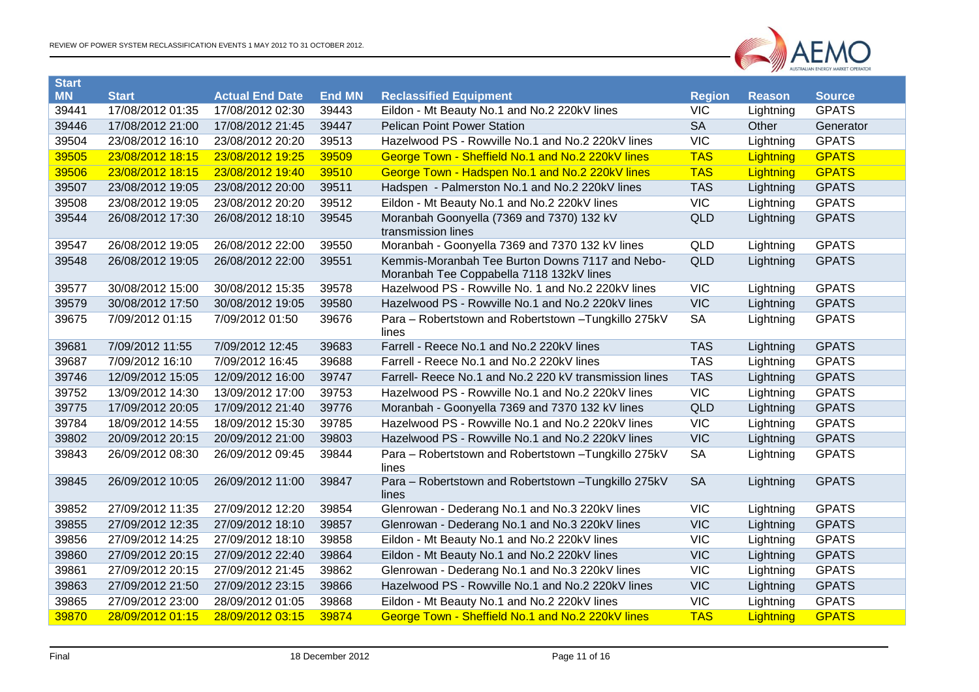

| <b>Start</b> |                  |                        |               |                                                                                             |               |               |               |
|--------------|------------------|------------------------|---------------|---------------------------------------------------------------------------------------------|---------------|---------------|---------------|
| <b>MN</b>    | <b>Start</b>     | <b>Actual End Date</b> | <b>End MN</b> | <b>Reclassified Equipment</b>                                                               | <b>Region</b> | <b>Reason</b> | <b>Source</b> |
| 39441        | 17/08/2012 01:35 | 17/08/2012 02:30       | 39443         | Eildon - Mt Beauty No.1 and No.2 220kV lines                                                | VIC           | Lightning     | <b>GPATS</b>  |
| 39446        | 17/08/2012 21:00 | 17/08/2012 21:45       | 39447         | <b>Pelican Point Power Station</b>                                                          | <b>SA</b>     | Other         | Generator     |
| 39504        | 23/08/2012 16:10 | 23/08/2012 20:20       | 39513         | Hazelwood PS - Rowville No.1 and No.2 220kV lines                                           | VIC           | Lightning     | <b>GPATS</b>  |
| 39505        | 23/08/2012 18:15 | 23/08/2012 19:25       | 39509         | George Town - Sheffield No.1 and No.2 220kV lines                                           | <b>TAS</b>    | Lightning     | <b>GPATS</b>  |
| 39506        | 23/08/2012 18:15 | 23/08/2012 19:40       | 39510         | George Town - Hadspen No.1 and No.2 220kV lines                                             | <b>TAS</b>    | Lightning     | <b>GPATS</b>  |
| 39507        | 23/08/2012 19:05 | 23/08/2012 20:00       | 39511         | Hadspen - Palmerston No.1 and No.2 220kV lines                                              | <b>TAS</b>    | Lightning     | <b>GPATS</b>  |
| 39508        | 23/08/2012 19:05 | 23/08/2012 20:20       | 39512         | Eildon - Mt Beauty No.1 and No.2 220kV lines                                                | <b>VIC</b>    | Lightning     | <b>GPATS</b>  |
| 39544        | 26/08/2012 17:30 | 26/08/2012 18:10       | 39545         | Moranbah Goonyella (7369 and 7370) 132 kV<br>transmission lines                             | <b>QLD</b>    | Lightning     | <b>GPATS</b>  |
| 39547        | 26/08/2012 19:05 | 26/08/2012 22:00       | 39550         | Moranbah - Goonyella 7369 and 7370 132 kV lines                                             | QLD           | Lightning     | <b>GPATS</b>  |
| 39548        | 26/08/2012 19:05 | 26/08/2012 22:00       | 39551         | Kemmis-Moranbah Tee Burton Downs 7117 and Nebo-<br>Moranbah Tee Coppabella 7118 132kV lines | <b>QLD</b>    | Lightning     | <b>GPATS</b>  |
| 39577        | 30/08/2012 15:00 | 30/08/2012 15:35       | 39578         | Hazelwood PS - Rowville No. 1 and No.2 220kV lines                                          | VIC           | Lightning     | <b>GPATS</b>  |
| 39579        | 30/08/2012 17:50 | 30/08/2012 19:05       | 39580         | Hazelwood PS - Rowville No.1 and No.2 220kV lines                                           | <b>VIC</b>    | Lightning     | <b>GPATS</b>  |
| 39675        | 7/09/2012 01:15  | 7/09/2012 01:50        | 39676         | Para - Robertstown and Robertstown - Tungkillo 275kV<br>lines                               | <b>SA</b>     | Lightning     | <b>GPATS</b>  |
| 39681        | 7/09/2012 11:55  | 7/09/2012 12:45        | 39683         | Farrell - Reece No.1 and No.2 220kV lines                                                   | <b>TAS</b>    | Lightning     | <b>GPATS</b>  |
| 39687        | 7/09/2012 16:10  | 7/09/2012 16:45        | 39688         | Farrell - Reece No.1 and No.2 220kV lines                                                   | <b>TAS</b>    | Lightning     | <b>GPATS</b>  |
| 39746        | 12/09/2012 15:05 | 12/09/2012 16:00       | 39747         | Farrell- Reece No.1 and No.2 220 kV transmission lines                                      | <b>TAS</b>    | Lightning     | <b>GPATS</b>  |
| 39752        | 13/09/2012 14:30 | 13/09/2012 17:00       | 39753         | Hazelwood PS - Rowville No.1 and No.2 220kV lines                                           | <b>VIC</b>    | Lightning     | <b>GPATS</b>  |
| 39775        | 17/09/2012 20:05 | 17/09/2012 21:40       | 39776         | Moranbah - Goonyella 7369 and 7370 132 kV lines                                             | <b>QLD</b>    | Lightning     | <b>GPATS</b>  |
| 39784        | 18/09/2012 14:55 | 18/09/2012 15:30       | 39785         | Hazelwood PS - Rowville No.1 and No.2 220kV lines                                           | <b>VIC</b>    | Lightning     | <b>GPATS</b>  |
| 39802        | 20/09/2012 20:15 | 20/09/2012 21:00       | 39803         | Hazelwood PS - Rowville No.1 and No.2 220kV lines                                           | <b>VIC</b>    | Lightning     | <b>GPATS</b>  |
| 39843        | 26/09/2012 08:30 | 26/09/2012 09:45       | 39844         | Para - Robertstown and Robertstown - Tungkillo 275kV<br>lines                               | <b>SA</b>     | Lightning     | <b>GPATS</b>  |
| 39845        | 26/09/2012 10:05 | 26/09/2012 11:00       | 39847         | Para - Robertstown and Robertstown - Tungkillo 275kV<br>lines                               | <b>SA</b>     | Lightning     | <b>GPATS</b>  |
| 39852        | 27/09/2012 11:35 | 27/09/2012 12:20       | 39854         | Glenrowan - Dederang No.1 and No.3 220kV lines                                              | <b>VIC</b>    | Lightning     | <b>GPATS</b>  |
| 39855        | 27/09/2012 12:35 | 27/09/2012 18:10       | 39857         | Glenrowan - Dederang No.1 and No.3 220kV lines                                              | <b>VIC</b>    | Lightning     | <b>GPATS</b>  |
| 39856        | 27/09/2012 14:25 | 27/09/2012 18:10       | 39858         | Eildon - Mt Beauty No.1 and No.2 220kV lines                                                | <b>VIC</b>    | Lightning     | <b>GPATS</b>  |
| 39860        | 27/09/2012 20:15 | 27/09/2012 22:40       | 39864         | Eildon - Mt Beauty No.1 and No.2 220kV lines                                                | <b>VIC</b>    | Lightning     | <b>GPATS</b>  |
| 39861        | 27/09/2012 20:15 | 27/09/2012 21:45       | 39862         | Glenrowan - Dederang No.1 and No.3 220kV lines                                              | <b>VIC</b>    | Lightning     | <b>GPATS</b>  |
| 39863        | 27/09/2012 21:50 | 27/09/2012 23:15       | 39866         | Hazelwood PS - Rowville No.1 and No.2 220kV lines                                           | <b>VIC</b>    | Lightning     | <b>GPATS</b>  |
| 39865        | 27/09/2012 23:00 | 28/09/2012 01:05       | 39868         | Eildon - Mt Beauty No.1 and No.2 220kV lines                                                | <b>VIC</b>    | Lightning     | <b>GPATS</b>  |
| 39870        | 28/09/2012 01:15 | 28/09/2012 03:15       | 39874         | George Town - Sheffield No.1 and No.2 220kV lines                                           | <b>TAS</b>    | Lightning     | <b>GPATS</b>  |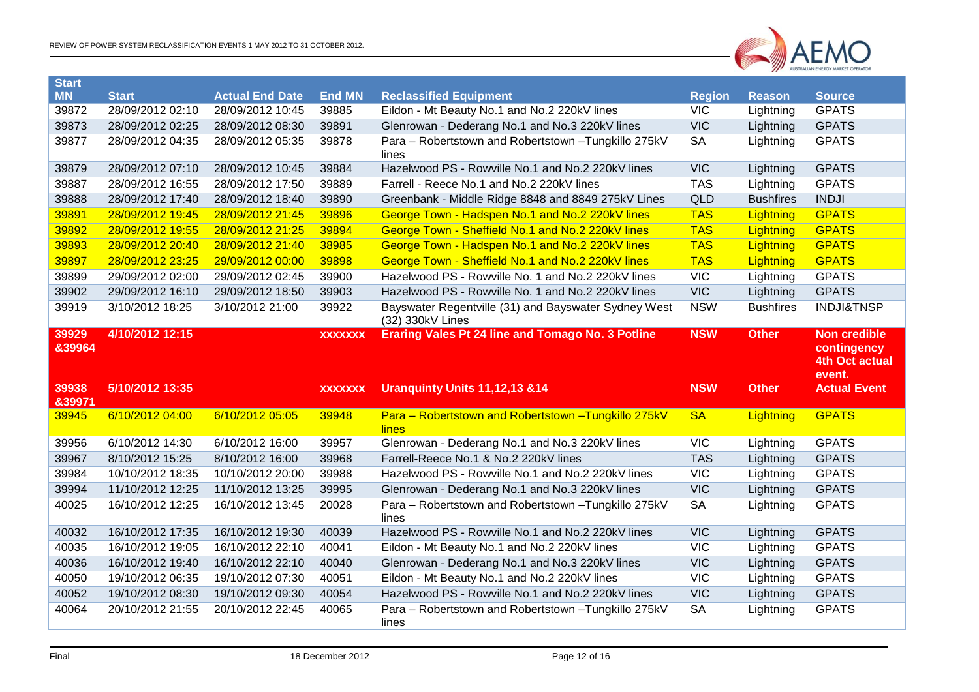

| Start<br><b>MN</b> | <b>Start</b>                         | <b>Actual End Date</b>               | <b>End MN</b>  | <b>Reclassified Equipment</b>                                                                             | <b>Region</b>           | <b>Reason</b>    | <b>Source</b>                      |
|--------------------|--------------------------------------|--------------------------------------|----------------|-----------------------------------------------------------------------------------------------------------|-------------------------|------------------|------------------------------------|
| 39872              | 28/09/2012 02:10                     | 28/09/2012 10:45                     | 39885          | Eildon - Mt Beauty No.1 and No.2 220kV lines                                                              | <b>VIC</b>              | Lightning        | <b>GPATS</b>                       |
| 39873              | 28/09/2012 02:25                     | 28/09/2012 08:30                     | 39891          | Glenrowan - Dederang No.1 and No.3 220kV lines                                                            | <b>VIC</b>              | Lightning        | <b>GPATS</b>                       |
| 39877              | 28/09/2012 04:35                     | 28/09/2012 05:35                     | 39878          | Para - Robertstown and Robertstown - Tungkillo 275kV<br>lines                                             | <b>SA</b>               | Lightning        | <b>GPATS</b>                       |
| 39879              | 28/09/2012 07:10                     | 28/09/2012 10:45                     | 39884          | Hazelwood PS - Rowville No.1 and No.2 220kV lines                                                         | <b>VIC</b>              | Lightning        | <b>GPATS</b>                       |
| 39887              | 28/09/2012 16:55                     | 28/09/2012 17:50                     | 39889          | Farrell - Reece No.1 and No.2 220kV lines                                                                 | <b>TAS</b>              | Lightning        | <b>GPATS</b>                       |
| 39888              | 28/09/2012 17:40                     | 28/09/2012 18:40                     | 39890          | Greenbank - Middle Ridge 8848 and 8849 275kV Lines                                                        | <b>QLD</b>              | <b>Bushfires</b> | <b>INDJI</b>                       |
| 39891              | 28/09/2012 19:45                     | 28/09/2012 21:45                     | 39896          | George Town - Hadspen No.1 and No.2 220kV lines                                                           | <b>TAS</b>              | Lightning        | <b>GPATS</b>                       |
| 39892              | 28/09/2012 19:55                     | 28/09/2012 21:25                     | 39894          | George Town - Sheffield No.1 and No.2 220kV lines                                                         | <b>TAS</b>              | Lightning        | <b>GPATS</b>                       |
| 39893              | 28/09/2012 20:40                     | 28/09/2012 21:40                     | 38985          | George Town - Hadspen No.1 and No.2 220kV lines                                                           | <b>TAS</b>              | Lightning        | <b>GPATS</b>                       |
| 39897              | 28/09/2012 23:25                     | 29/09/2012 00:00                     | 39898          | George Town - Sheffield No.1 and No.2 220kV lines                                                         | <b>TAS</b>              | Lightning        | <b>GPATS</b>                       |
| 39899              | 29/09/2012 02:00                     | 29/09/2012 02:45                     | 39900          | Hazelwood PS - Rowville No. 1 and No.2 220kV lines                                                        | VIC                     | Lightning        | <b>GPATS</b>                       |
| 39902              | 29/09/2012 16:10                     | 29/09/2012 18:50                     | 39903          | Hazelwood PS - Rowville No. 1 and No.2 220kV lines                                                        | <b>VIC</b>              | Lightning        | <b>GPATS</b>                       |
| 39919              | 3/10/2012 18:25                      | 3/10/2012 21:00                      | 39922          | Bayswater Regentville (31) and Bayswater Sydney West<br>(32) 330kV Lines                                  | <b>NSW</b>              | <b>Bushfires</b> | <b>INDJI&amp;TNSP</b>              |
| 39929<br>&39964    | 4/10/2012 12:15                      |                                      | <b>XXXXXXX</b> | <b>Eraring Vales Pt 24 line and Tomago No. 3 Potline</b>                                                  | <b>NSW</b>              | <b>Other</b>     | <b>Non credible</b><br>contingency |
|                    |                                      |                                      |                |                                                                                                           |                         |                  | <b>4th Oct actual</b>              |
| 39938<br>839971    | 5/10/2012 13:35                      |                                      | <b>XXXXXXX</b> | Uranquinty Units 11,12,13 &14                                                                             | <b>NSW</b>              | <b>Other</b>     | event.<br><b>Actual Event</b>      |
| 39945              | 6/10/2012 04:00                      | 6/10/2012 05:05                      | 39948          | Para - Robertstown and Robertstown - Tungkillo 275kV<br>lines                                             | <b>SA</b>               | Lightning        | <b>GPATS</b>                       |
| 39956              | 6/10/2012 14:30                      | 6/10/2012 16:00                      | 39957          | Glenrowan - Dederang No.1 and No.3 220kV lines                                                            | <b>VIC</b>              | Lightning        | <b>GPATS</b>                       |
| 39967              | 8/10/2012 15:25                      | 8/10/2012 16:00                      | 39968          | Farrell-Reece No.1 & No.2 220kV lines                                                                     | <b>TAS</b>              | Lightning        | <b>GPATS</b>                       |
| 39984              | 10/10/2012 18:35                     | 10/10/2012 20:00                     | 39988          | Hazelwood PS - Rowville No.1 and No.2 220kV lines                                                         | VIC                     | Lightning        | <b>GPATS</b>                       |
| 39994              | 11/10/2012 12:25                     | 11/10/2012 13:25                     | 39995          | Glenrowan - Dederang No.1 and No.3 220kV lines                                                            | <b>VIC</b>              | Lightning        | <b>GPATS</b>                       |
| 40025              | 16/10/2012 12:25                     | 16/10/2012 13:45                     | 20028          | Para - Robertstown and Robertstown - Tungkillo 275kV<br>lines                                             | <b>SA</b>               | Lightning        | <b>GPATS</b>                       |
| 40032              | 16/10/2012 17:35                     | 16/10/2012 19:30                     | 40039          | Hazelwood PS - Rowville No.1 and No.2 220kV lines                                                         | <b>VIC</b>              | Lightning        | <b>GPATS</b>                       |
| 40035              | 16/10/2012 19:05                     | 16/10/2012 22:10                     | 40041          | Eildon - Mt Beauty No.1 and No.2 220kV lines                                                              | VIC                     | Lightning        | <b>GPATS</b>                       |
| 40036              | 16/10/2012 19:40                     | 16/10/2012 22:10                     | 40040          | Glenrowan - Dederang No.1 and No.3 220kV lines                                                            | <b>VIC</b>              | Lightning        | <b>GPATS</b>                       |
| 40050              | 19/10/2012 06:35                     | 19/10/2012 07:30                     | 40051          | Eildon - Mt Beauty No.1 and No.2 220kV lines                                                              | <b>VIC</b>              | Lightning        | <b>GPATS</b>                       |
| 40052<br>40064     | 19/10/2012 08:30<br>20/10/2012 21:55 | 19/10/2012 09:30<br>20/10/2012 22:45 | 40054<br>40065 | Hazelwood PS - Rowville No.1 and No.2 220kV lines<br>Para - Robertstown and Robertstown - Tungkillo 275kV | <b>VIC</b><br><b>SA</b> | Lightning        | <b>GPATS</b><br><b>GPATS</b>       |

**Start**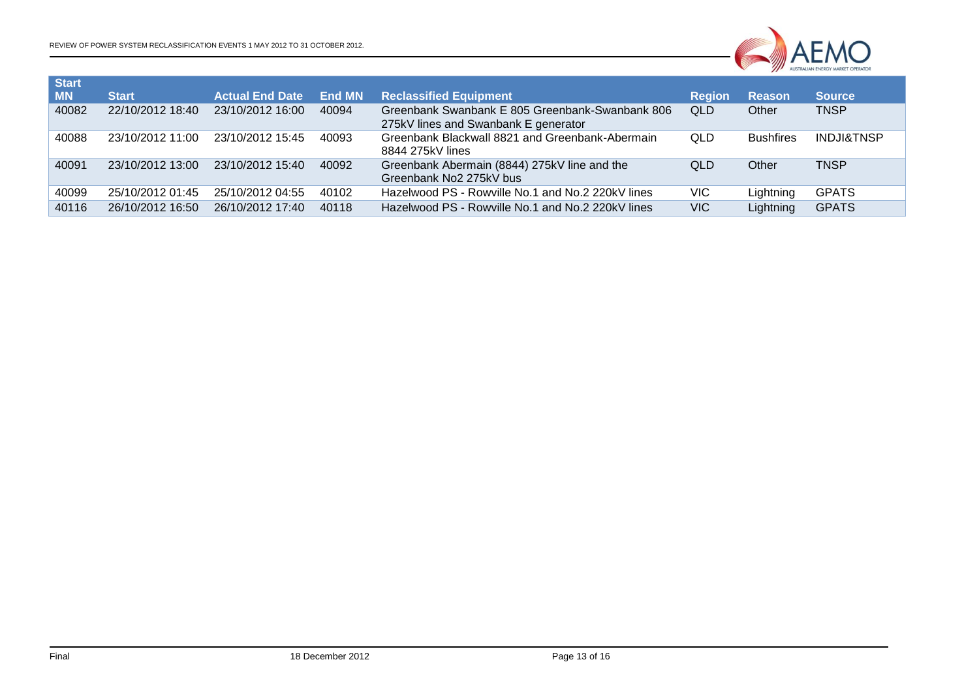

| Start     |                  |                        |        |                                                                                         |               |                  |                       |
|-----------|------------------|------------------------|--------|-----------------------------------------------------------------------------------------|---------------|------------------|-----------------------|
| <b>MN</b> | <b>Start</b>     | <b>Actual End Date</b> | End MN | <b>Reclassified Equipment</b>                                                           | <b>Region</b> | <b>Reason</b>    | <b>Source</b>         |
| 40082     | 22/10/2012 18:40 | 23/10/2012 16:00       | 40094  | Greenbank Swanbank E 805 Greenbank-Swanbank 806<br>275kV lines and Swanbank E generator | <b>QLD</b>    | Other            | <b>TNSP</b>           |
| 40088     | 23/10/2012 11:00 | 23/10/2012 15:45       | 40093  | Greenbank Blackwall 8821 and Greenbank-Abermain<br>8844 275kV lines                     | QLD           | <b>Bushfires</b> | <b>INDJI&amp;TNSP</b> |
| 40091     | 23/10/2012 13:00 | 23/10/2012 15:40       | 40092  | Greenbank Abermain (8844) 275kV line and the<br>Greenbank No2 275kV bus                 | <b>QLD</b>    | Other            | <b>TNSP</b>           |
| 40099     | 25/10/2012 01:45 | 25/10/2012 04:55       | 40102  | Hazelwood PS - Rowville No.1 and No.2 220kV lines                                       | VIC.          | Lightning        | <b>GPATS</b>          |
| 40116     | 26/10/2012 16:50 | 26/10/2012 17:40       | 40118  | Hazelwood PS - Rowville No.1 and No.2 220kV lines                                       | <b>VIC</b>    | Lightning        | <b>GPATS</b>          |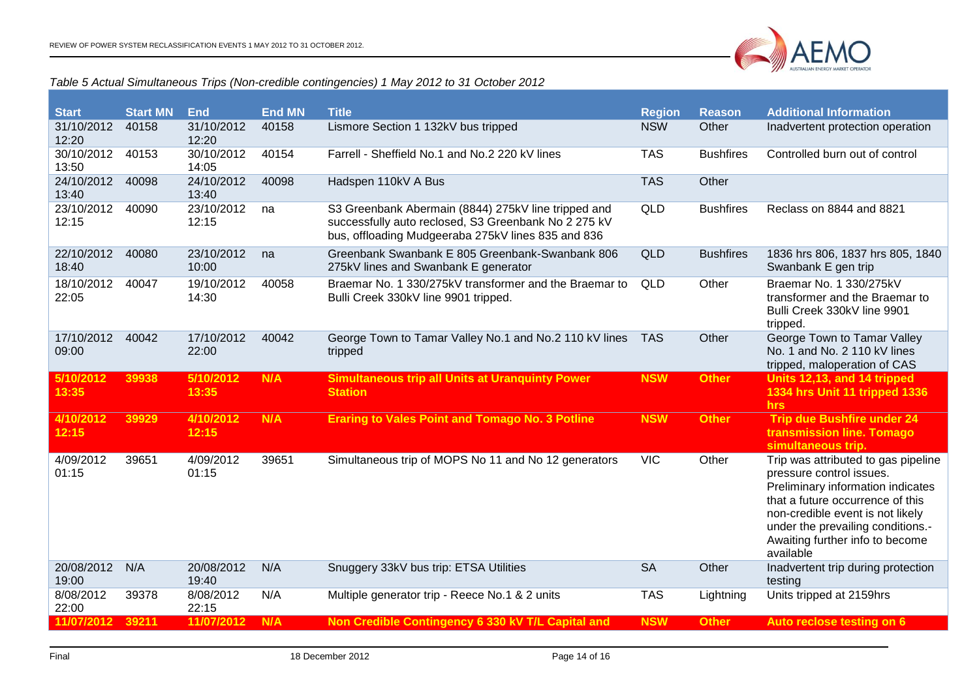

#### *Table 5 Actual Simultaneous Trips (Non-credible contingencies) 1 May 2012 to 31 October 2012*

<span id="page-13-0"></span>

| <b>Start</b>        | <b>Start MN</b> | <b>End</b>          | <b>End MN</b> | <b>Title</b>                                                                                                                                                      | <b>Region</b> | <b>Reason</b>    | <b>Additional Information</b>                                                                                                                                                                                                                                     |
|---------------------|-----------------|---------------------|---------------|-------------------------------------------------------------------------------------------------------------------------------------------------------------------|---------------|------------------|-------------------------------------------------------------------------------------------------------------------------------------------------------------------------------------------------------------------------------------------------------------------|
| 31/10/2012<br>12:20 | 40158           | 31/10/2012<br>12:20 | 40158         | Lismore Section 1 132kV bus tripped                                                                                                                               | <b>NSW</b>    | Other            | Inadvertent protection operation                                                                                                                                                                                                                                  |
| 30/10/2012<br>13:50 | 40153           | 30/10/2012<br>14:05 | 40154         | Farrell - Sheffield No.1 and No.2 220 kV lines                                                                                                                    | <b>TAS</b>    | <b>Bushfires</b> | Controlled burn out of control                                                                                                                                                                                                                                    |
| 24/10/2012<br>13:40 | 40098           | 24/10/2012<br>13:40 | 40098         | Hadspen 110kV A Bus                                                                                                                                               | <b>TAS</b>    | Other            |                                                                                                                                                                                                                                                                   |
| 23/10/2012<br>12:15 | 40090           | 23/10/2012<br>12:15 | na            | S3 Greenbank Abermain (8844) 275kV line tripped and<br>successfully auto reclosed, S3 Greenbank No 2 275 kV<br>bus, offloading Mudgeeraba 275kV lines 835 and 836 | QLD           | <b>Bushfires</b> | Reclass on 8844 and 8821                                                                                                                                                                                                                                          |
| 22/10/2012<br>18:40 | 40080           | 23/10/2012<br>10:00 | na            | Greenbank Swanbank E 805 Greenbank-Swanbank 806<br>275kV lines and Swanbank E generator                                                                           | <b>QLD</b>    | <b>Bushfires</b> | 1836 hrs 806, 1837 hrs 805, 1840<br>Swanbank E gen trip                                                                                                                                                                                                           |
| 18/10/2012<br>22:05 | 40047           | 19/10/2012<br>14:30 | 40058         | Braemar No. 1 330/275kV transformer and the Braemar to<br>Bulli Creek 330kV line 9901 tripped.                                                                    | QLD           | Other            | Braemar No. 1 330/275kV<br>transformer and the Braemar to<br>Bulli Creek 330kV line 9901<br>tripped.                                                                                                                                                              |
| 17/10/2012<br>09:00 | 40042           | 17/10/2012<br>22:00 | 40042         | George Town to Tamar Valley No.1 and No.2 110 kV lines<br>tripped                                                                                                 | <b>TAS</b>    | Other            | George Town to Tamar Valley<br>No. 1 and No. 2 110 kV lines<br>tripped, maloperation of CAS                                                                                                                                                                       |
| 5/10/2012<br>13:35  | 39938           | 5/10/2012<br>13:35  | N/A           | <b>Simultaneous trip all Units at Uranquinty Power</b><br><b>Station</b>                                                                                          | <b>NSW</b>    | <b>Other</b>     | Units 12,13, and 14 tripped<br>1334 hrs Unit 11 tripped 1336<br>hrs                                                                                                                                                                                               |
| 4/10/2012<br>12:15  | 39929           | 4/10/2012<br>12:15  | N/A           | <b>Eraring to Vales Point and Tomago No. 3 Potline</b>                                                                                                            | <b>NSW</b>    | <b>Other</b>     | <b>Trip due Bushfire under 24</b><br>transmission line. Tomago<br>simultaneous trip.                                                                                                                                                                              |
| 4/09/2012<br>01:15  | 39651           | 4/09/2012<br>01:15  | 39651         | Simultaneous trip of MOPS No 11 and No 12 generators                                                                                                              | <b>VIC</b>    | Other            | Trip was attributed to gas pipeline<br>pressure control issues.<br>Preliminary information indicates<br>that a future occurrence of this<br>non-credible event is not likely<br>under the prevailing conditions.-<br>Awaiting further info to become<br>available |
| 20/08/2012<br>19:00 | N/A             | 20/08/2012<br>19:40 | N/A           | Snuggery 33kV bus trip: ETSA Utilities                                                                                                                            | <b>SA</b>     | Other            | Inadvertent trip during protection<br>testing                                                                                                                                                                                                                     |
| 8/08/2012<br>22:00  | 39378           | 8/08/2012<br>22:15  | N/A           | Multiple generator trip - Reece No.1 & 2 units                                                                                                                    | <b>TAS</b>    | Lightning        | Units tripped at 2159hrs                                                                                                                                                                                                                                          |
| 11/07/2012 39211    |                 | 11/07/2012          | N/A           | Non Credible Contingency 6 330 kV T/L Capital and                                                                                                                 | <b>NSW</b>    | <b>Other</b>     | Auto reclose testing on 6                                                                                                                                                                                                                                         |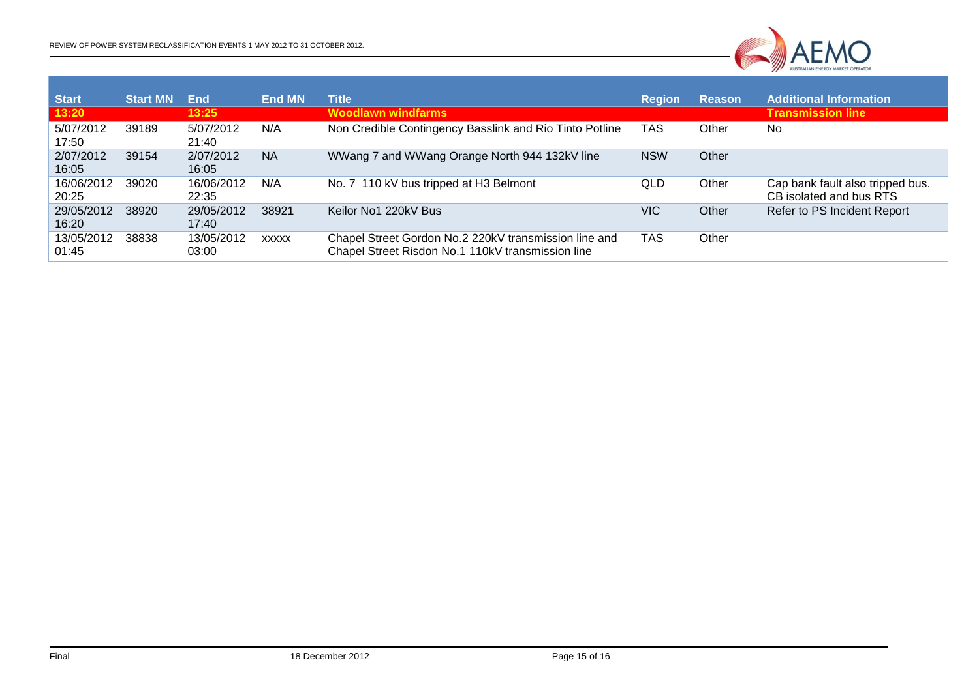

| <b>Start</b><br>13:20 | <b>Start MN</b> | End<br>13:25        | <b>End MN</b> | <b>Title</b><br><b>Woodlawn windfarms</b>                                                                  | <b>Region</b> | <b>Reason</b> | <b>Additional Information</b><br><b>Transmission line</b>   |
|-----------------------|-----------------|---------------------|---------------|------------------------------------------------------------------------------------------------------------|---------------|---------------|-------------------------------------------------------------|
| 5/07/2012<br>17:50    | 39189           | 5/07/2012<br>21:40  | N/A           | Non Credible Contingency Basslink and Rio Tinto Potline                                                    | TAS           | Other         | No                                                          |
| 2/07/2012<br>16:05    | 39154           | 2/07/2012<br>16:05  | <b>NA</b>     | WWang 7 and WWang Orange North 944 132kV line                                                              | <b>NSW</b>    | Other         |                                                             |
| 16/06/2012<br>20:25   | 39020           | 16/06/2012<br>22:35 | N/A           | No. 7 110 kV bus tripped at H3 Belmont                                                                     | QLD           | Other         | Cap bank fault also tripped bus.<br>CB isolated and bus RTS |
| 29/05/2012<br>16:20   | 38920           | 29/05/2012<br>17:40 | 38921         | Keilor No1 220kV Bus                                                                                       | VIC           | Other         | Refer to PS Incident Report                                 |
| 13/05/2012<br>01:45   | 38838           | 13/05/2012<br>03:00 | <b>XXXXX</b>  | Chapel Street Gordon No.2 220kV transmission line and<br>Chapel Street Risdon No.1 110kV transmission line | TAS           | Other         |                                                             |